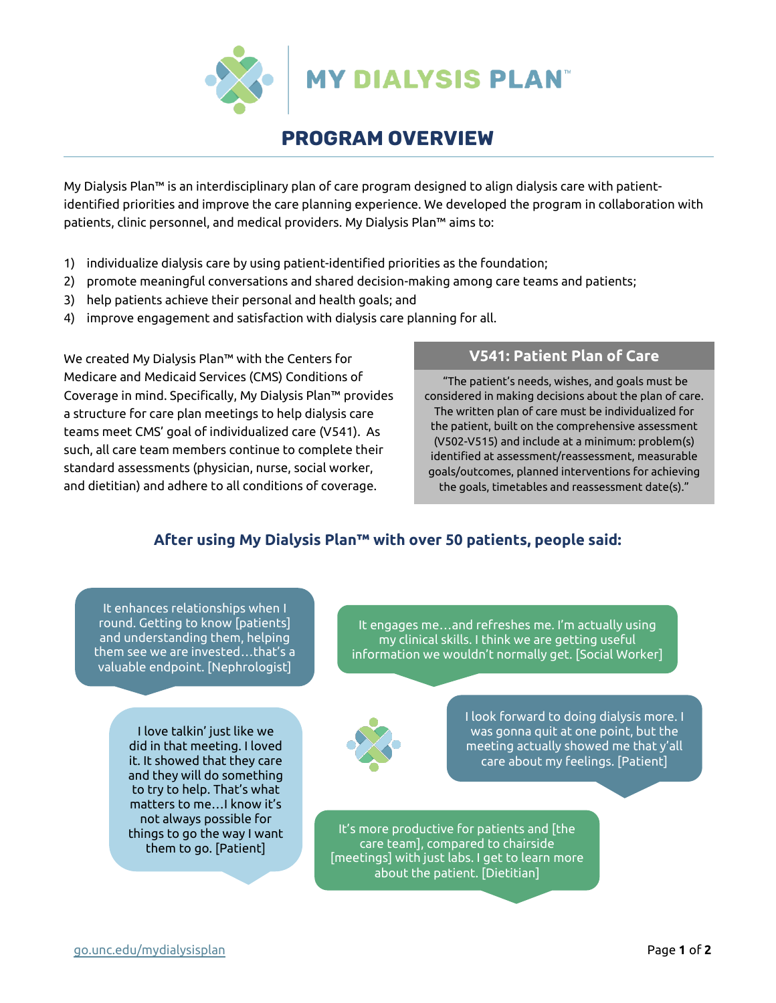

# PROGRAM OVERVIEW

My Dialysis Plan™ is an interdisciplinary plan of care program designed to align dialysis care with patientidentified priorities and improve the care planning experience. We developed the program in collaboration with patients, clinic personnel, and medical providers. My Dialysis Plan™ aims to:

- 1) individualize dialysis care by using patient-identified priorities as the foundation;
- 2) promote meaningful conversations and shared decision-making among care teams and patients;
- 3) help patients achieve their personal and health goals; and
- 4) improve engagement and satisfaction with dialysis care planning for all.

We created My Dialysis Plan™ with the Centers for Medicare and Medicaid Services (CMS) Conditions of Coverage in mind. Specifically, My Dialysis Plan™ provides a structure for care plan meetings to help dialysis care teams meet CMS' goal of individualized care (V541). As such, all care team members continue to complete their standard assessments (physician, nurse, social worker, and dietitian) and adhere to all conditions of coverage.

### **V541: Patient Plan of Care**

"The patient's needs, wishes, and goals must be considered in making decisions about the plan of care. The written plan of care must be individualized for the patient, built on the comprehensive assessment (V502-V515) and include at a minimum: problem(s) identified at assessment/reassessment, measurable goals/outcomes, planned interventions for achieving the goals, timetables and reassessment date(s)."

## **After using My Dialysis Plan™ with over 50 patients, people said:**

It enhances relationships when I round. Getting to know [patients] and understanding them, helping them see we are invested…that's a valuable endpoint. [Nephrologist]

> I love talkin' just like we did in that meeting. I loved it. It showed that they care and they will do something to try to help. That's what matters to me…I know it's not always possible for things to go the way I want them to go. [Patient]

It engages me…and refreshes me. I'm actually using my clinical skills. I think we are getting useful information we wouldn't normally get. [Social Worker]



I look forward to doing dialysis more. I was gonna quit at one point, but the meeting actually showed me that y'all care about my feelings. [Patient]

It's more productive for patients and [the care team], compared to chairside [meetings] with just labs. I get to learn more about the patient. [Dietitian]